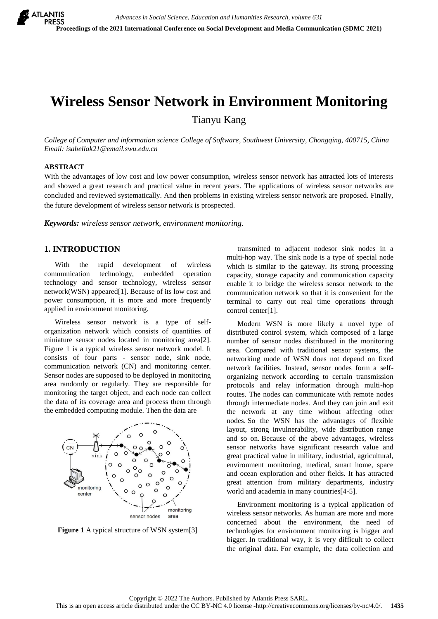# **Wireless Sensor Network in Environment Monitoring**

Tianyu Kang

*College of Computer and information science College of Software, Southwest University, Chongqing, 400715, China Email: isabellak21@email.swu.edu.cn*

#### **ABSTRACT**

With the advantages of low cost and low power consumption, wireless sensor network has attracted lots of interests and showed a great research and practical value in recent years. The applications of wireless sensor networks are concluded and reviewed systematically. And then problems in existing wireless sensor network are proposed. Finally, the future development of wireless sensor network is prospected.

*Keywords: wireless sensor network, environment monitoring.*

## **1. INTRODUCTION**

With the rapid development of wireless communication technology, embedded operation technology and sensor technology, wireless sensor network(WSN) appeared[1]. Because of its low cost and power consumption, it is more and more frequently applied in environment monitoring.

Wireless sensor network is a type of selforganization network which consists of quantities of miniature sensor nodes located in monitoring area[2]. Figure 1 is a typical wireless sensor network model. It consists of four parts - sensor node, sink node, communication network (CN) and monitoring center. Sensor nodes are supposed to be deployed in monitoring area randomly or regularly. They are responsible for monitoring the target object, and each node can collect the data of its coverage area and process them through the embedded computing module. Then the data are



**Figure 1** A typical structure of WSN system[3]

transmitted to adjacent nodesor sink nodes in a multi-hop way. The sink node is a type of special node which is similar to the gateway. Its strong processing capacity, storage capacity and communication capacity enable it to bridge the wireless sensor network to the communication network so that it is convenient for the terminal to carry out real time operations through control center[1].

Modern WSN is more likely a novel type of distributed control system, which composed of a large number of sensor nodes distributed in the monitoring area. Compared with traditional sensor systems, the networking mode of WSN does not depend on fixed network facilities. Instead, sensor nodes form a selforganizing network according to certain transmission protocols and relay information through multi-hop routes. The nodes can communicate with remote nodes through intermediate nodes. And they can join and exit the network at any time without affecting other nodes. So the WSN has the advantages of flexible layout, strong invulnerability, wide distribution range and so on. Because of the above advantages, wireless sensor networks have significant research value and great practical value in military, industrial, agricultural, environment monitoring, medical, smart home, space and ocean exploration and other fields. It has attracted great attention from military departments, industry world and academia in many countries[4-5].

Environment monitoring is a typical application of wireless sensor networks. As human are more and more concerned about the environment, the need of technologies for environment monitoring is bigger and bigger. In traditional way, it is very difficult to collect the original data. For example, the data collection and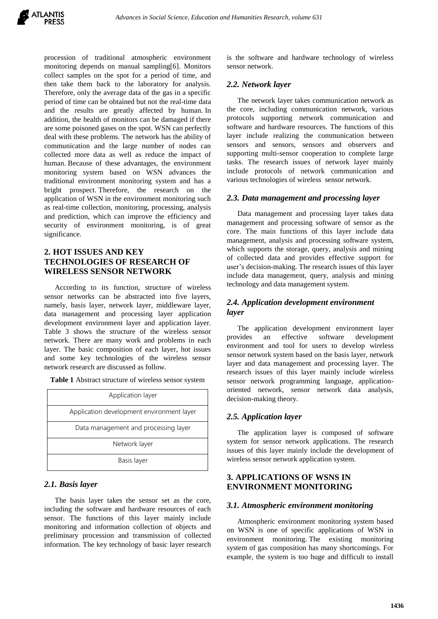procession of traditional atmospheric environment monitoring depends on manual sampling[6]. Monitors collect samples on the spot for a period of time, and then take them back to the laboratory for analysis. Therefore, only the average data of the gas in a specific period of time can be obtained but not the real-time data and the results are greatly affected by human. In addition, the health of monitors can be damaged if there are some poisoned gases on the spot. WSN can perfectly deal with these problems. The network has the ability of communication and the large number of nodes can collected more data as well as reduce the impact of human. Because of these advantages, the environment monitoring system based on WSN advances the traditional environment monitoring system and has a bright prospect. Therefore, the research on the application of WSN in the environment monitoring such as real-time collection, monitoring, processing, analysis and prediction, which can improve the efficiency and security of environment monitoring, is of great significance.

## **2. HOT ISSUES AND KEY TECHNOLOGIES OF RESEARCH OF WIRELESS SENSOR NETWORK**

According to its function, structure of wireless sensor networks can be abstracted into five layers, namely, basis layer, network layer, middleware layer, data management and processing layer application development environment layer and application layer. Table 3 shows the structure of the wireless sensor network. There are many work and problems in each layer. The basic composition of each layer, hot issues and some key technologies of the wireless sensor network research are discussed as follow.

|  |  | Table 1 Abstract structure of wireless sensor system |  |
|--|--|------------------------------------------------------|--|
|  |  |                                                      |  |

| Application layer                         |
|-------------------------------------------|
| Application development environment layer |
| Data management and processing layer      |
| Network layer                             |
| Basis layer                               |

#### *2.1. Basis layer*

The basis layer takes the sensor set as the core, including the software and hardware resources of each sensor. The functions of this layer mainly include monitoring and information collection of objects and preliminary procession and transmission of collected information. The key technology of basic layer research is the software and hardware technology of wireless sensor network.

#### *2.2. Network layer*

The network layer takes communication network as the core, including communication network, various protocols supporting network communication and software and hardware resources. The functions of this layer include realizing the communication between sensors and sensors, sensors and observers and supporting multi-sensor cooperation to complete large tasks. The research issues of network layer mainly include protocols of network communication and various technologies of wireless sensor network.

#### *2.3. Data management and processing layer*

Data management and processing layer takes data management and processing software of sensor as the core. The main functions of this layer include data management, analysis and processing software system, which supports the storage, query, analysis and mining of collected data and provides effective support for user's decision-making. The research issues of this layer include data management, query, analysis and mining technology and data management system.

## *2.4. Application development environment layer*

The application development environment layer provides an effective software development environment and tool for users to develop wireless sensor network system based on the basis layer, network layer and data management and processing layer. The research issues of this layer mainly include wireless sensor network programming language, applicationoriented network, sensor network data analysis, decision-making theory.

#### *2.5. Application layer*

The application layer is composed of software system for sensor network applications. The research issues of this layer mainly include the development of wireless sensor network application system.

## **3. APPLICATIONS OF WSNS IN ENVIRONMENT MONITORING**

#### *3.1. Atmospheric environment monitoring*

Atmospheric environment monitoring system based on WSN is one of specific applications of WSN in environment monitoring. The existing monitoring system of gas composition has many shortcomings. For example, the system is too huge and difficult to install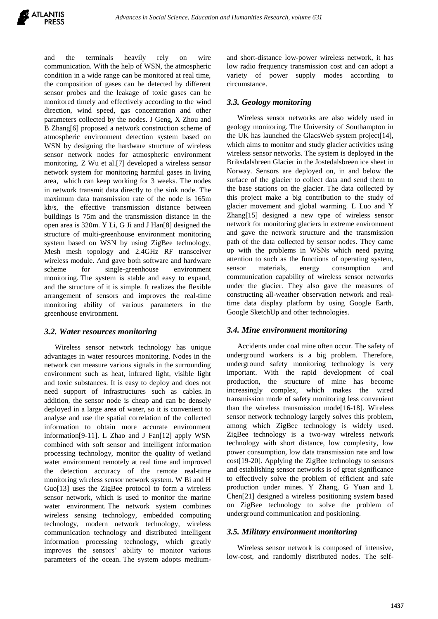and the terminals heavily rely on wire communication. With the help of WSN, the atmospheric condition in a wide range can be monitored at real time, the composition of gases can be detected by different sensor probes and the leakage of toxic gases can be monitored timely and effectively according to the wind direction, wind speed, gas concentration and other parameters collected by the nodes. J Geng, X Zhou and B Zhang[6] proposed a network construction scheme of atmospheric environment detection system based on WSN by designing the hardware structure of wireless sensor network nodes for atmospheric environment monitoring. Z Wu et al.[7] developed a wireless sensor network system for monitoring harmful gases in living area, which can keep working for 3 weeks. The nodes in network transmit data directly to the sink node. The maximum data transmission rate of the node is 165m kb/s, the effective transmission distance between buildings is 75m and the transmission distance in the open area is 320m. Y Li, G Ji and J Han[8] designed the structure of multi-greenhouse environment monitoring system based on WSN by using ZigBee technology, Mesh mesh topology and 2.4GHz RF transceiver wireless module. And gave both software and hardware scheme for single-greenhouse environment monitoring. The system is stable and easy to expand, and the structure of it is simple. It realizes the flexible arrangement of sensors and improves the real-time monitoring ability of various parameters in the greenhouse environment.

#### *3.2. Water resources monitoring*

Wireless sensor network technology has unique advantages in water resources monitoring. Nodes in the network can measure various signals in the surrounding environment such as heat, infrared light, visible light and toxic substances. It is easy to deploy and does not need support of infrastructures such as cables. In addition, the sensor node is cheap and can be densely deployed in a large area of water, so it is convenient to analyse and use the spatial correlation of the collected information to obtain more accurate environment information[9-11]. L Zhao and J Fan[12] apply WSN combined with soft sensor and intelligent information processing technology, monitor the quality of wetland water environment remotely at real time and improved the detection accuracy of the remote real-time monitoring wireless sensor network system. W Bi and H Guo[13] uses the ZigBee protocol to form a wireless sensor network, which is used to monitor the marine water environment. The network system combines wireless sensing technology, embedded computing technology, modern network technology, wireless communication technology and distributed intelligent information processing technology, which greatly improves the sensors' ability to monitor various parameters of the ocean. The system adopts mediumand short-distance low-power wireless network, it has low radio frequency transmission cost and can adopt a variety of power supply modes according to circumstance.

## *3.3. Geology monitoring*

Wireless sensor networks are also widely used in geology monitoring. The University of Southampton in the UK has launched the GlacsWeb system project[14], which aims to monitor and study glacier activities using wireless sensor networks. The system is deployed in the Briksdalsbreen Glacier in the Jostedalsbreen ice sheet in Norway. Sensors are deployed on, in and below the surface of the glacier to collect data and send them to the base stations on the glacier. The data collected by this project make a big contribution to the study of glacier movement and global warming. L Luo and Y Zhang[15] designed a new type of wireless sensor network for monitoring glaciers in extreme environment and gave the network structure and the transmission path of the data collected by sensor nodes. They came up with the problems in WSNs which need paying attention to such as the functions of operating system, sensor materials, energy consumption and communication capability of wireless sensor networks under the glacier. They also gave the measures of constructing all-weather observation network and realtime data display platform by using Google Earth, Google SketchUp and other technologies.

#### *3.4. Mine environment monitoring*

Accidents under coal mine often occur. The safety of underground workers is a big problem. Therefore, underground safety monitoring technology is very important. With the rapid development of coal production, the structure of mine has become increasingly complex, which makes the wired transmission mode of safety monitoring less convenient than the wireless transmission mode[16-18]. Wireless sensor network technology largely solves this problem, among which ZigBee technology is widely used. ZigBee technology is a two-way wireless network technology with short distance, low complexity, low power consumption, low data transmission rate and low cost[19-20]. Applying the ZigBee technology to sensors and establishing sensor networks is of great significance to effectively solve the problem of efficient and safe production under mines. Y Zhang, G Yuan and L Chen[21] designed a wireless positioning system based on ZigBee technology to solve the problem of underground communication and positioning.

#### *3.5. Military environment monitoring*

Wireless sensor network is composed of intensive, low-cost, and randomly distributed nodes. The self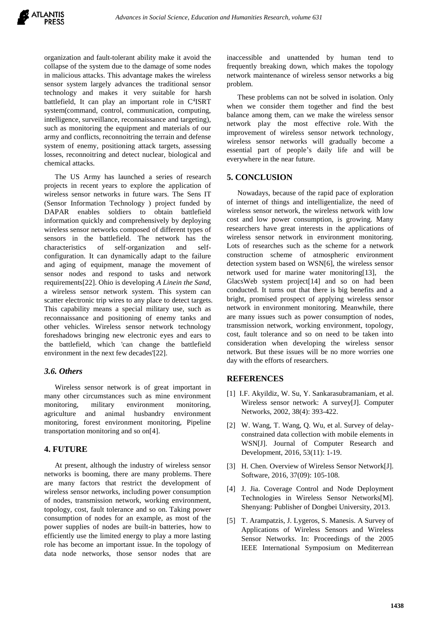organization and fault-tolerant ability make it avoid the collapse of the system due to the damage of some nodes in malicious attacks. This advantage makes the wireless sensor system largely advances the traditional sensor technology and makes it very suitable for harsh battlefield, It can play an important role in C<sup>4</sup>ISRT system(command, control, communication, computing, intelligence, surveillance, reconnaissance and targeting), such as monitoring the equipment and materials of our army and conflicts, reconnoitring the terrain and defense system of enemy, positioning attack targets, assessing losses, reconnoitring and detect nuclear, biological and chemical attacks.

The US Army has launched a series of research projects in recent years to explore the application of wireless sensor networks in future wars. The Sens IT (Sensor Information Technology ) project funded by DAPAR enables soldiers to obtain battlefield information quickly and comprehensively by deploying wireless sensor networks composed of different types of sensors in the battlefield. The network has the characteristics of self-organization and selfconfiguration. It can dynamically adapt to the failure and aging of equipment, manage the movement of sensor nodes and respond to tasks and network requirements[22]. Ohio is developing *A Linein the Sand*, a wireless sensor network system. This system can scatter electronic trip wires to any place to detect targets. This capability means a special military use, such as reconnaissance and positioning of enemy tanks and other vehicles. Wireless sensor network technology foreshadows bringing new electronic eyes and ears to the battlefield, which 'can change the battlefield environment in the next few decades'[22].

## *3.6. Others*

Wireless sensor network is of great important in many other circumstances such as mine environment monitoring, military environment monitoring, agriculture and animal husbandry environment monitoring, forest environment monitoring, Pipeline transportation monitoring and so on[4].

## **4. FUTURE**

At present, although the industry of wireless sensor networks is booming, there are many problems. There are many factors that restrict the development of wireless sensor networks, including power consumption of nodes, transmission network, working environment, topology, cost, fault tolerance and so on. Taking power consumption of nodes for an example, as most of the power supplies of nodes are built-in batteries, how to efficiently use the limited energy to play a more lasting role has become an important issue. In the topology of data node networks, those sensor nodes that are inaccessible and unattended by human tend to frequently breaking down, which makes the topology network maintenance of wireless sensor networks a big problem.

These problems can not be solved in isolation. Only when we consider them together and find the best balance among them, can we make the wireless sensor network play the most effective role. With the improvement of wireless sensor network technology, wireless sensor networks will gradually become a essential part of people's daily life and will be everywhere in the near future.

## **5. CONCLUSION**

Nowadays, because of the rapid pace of exploration of internet of things and intelligentialize, the need of wireless sensor network, the wireless network with low cost and low power consumption, is growing. Many researchers have great interests in the applications of wireless sensor network in environment monitoring. Lots of researches such as the scheme for a network construction scheme of atmospheric environment detection system based on WSN[6], the wireless sensor network used for marine water monitoring[13], the GlacsWeb system project[14] and so on had been conducted. It turns out that there is big benefits and a bright, promised prospect of applying wireless sensor network in environment monitoring. Meanwhile, there are many issues such as power consumption of nodes, transmission network, working environment, topology, cost, fault tolerance and so on need to be taken into consideration when developing the wireless sensor network. But these issues will be no more worries one day with the efforts of researchers.

#### **REFERENCES**

- [1] I.F. Akyildiz, W. Su, Y. Sankarasubramaniam, et al. Wireless sensor network: A survey[J]. Computer Networks, 2002, 38(4): 393-422.
- [2] W. Wang, T. Wang, Q. Wu, et al. Survey of delayconstrained data collection with mobile elements in WSN[J]. Journal of Computer Research and Development, 2016, 53(11): 1-19.
- [3] H. Chen. Overview of Wireless Sensor Network[J]. Software, 2016, 37(09): 105-108.
- [4] J. Jia. Coverage Control and Node Deployment Technologies in Wireless Sensor Networks[M]. Shenyang: Publisher of Dongbei University, 2013.
- [5] T. Arampatzis, J. Lygeros, S. Manesis. A Survey of Applications of Wireless Sensors and Wireless Sensor Networks. In: Proceedings of the 2005 IEEE International Symposium on Mediterrean